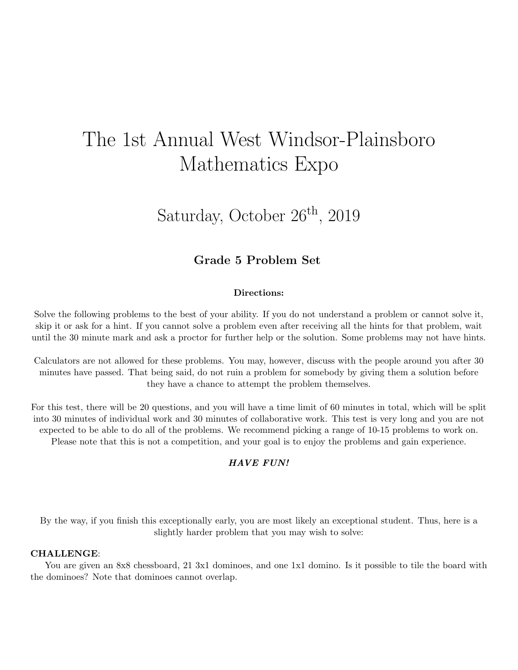# The 1st Annual West Windsor-Plainsboro Mathematics Expo

## Saturday, October  $26<sup>th</sup>$ , 2019

### Grade 5 Problem Set

#### Directions:

Solve the following problems to the best of your ability. If you do not understand a problem or cannot solve it, skip it or ask for a hint. If you cannot solve a problem even after receiving all the hints for that problem, wait until the 30 minute mark and ask a proctor for further help or the solution. Some problems may not have hints.

Calculators are not allowed for these problems. You may, however, discuss with the people around you after 30 minutes have passed. That being said, do not ruin a problem for somebody by giving them a solution before they have a chance to attempt the problem themselves.

For this test, there will be 20 questions, and you will have a time limit of 60 minutes in total, which will be split into 30 minutes of individual work and 30 minutes of collaborative work. This test is very long and you are not expected to be able to do all of the problems. We recommend picking a range of 10-15 problems to work on. Please note that this is not a competition, and your goal is to enjoy the problems and gain experience.

#### HAVE FUN!

By the way, if you finish this exceptionally early, you are most likely an exceptional student. Thus, here is a slightly harder problem that you may wish to solve:

#### CHALLENGE:

You are given an 8x8 chessboard, 21 3x1 dominoes, and one 1x1 domino. Is it possible to tile the board with the dominoes? Note that dominoes cannot overlap.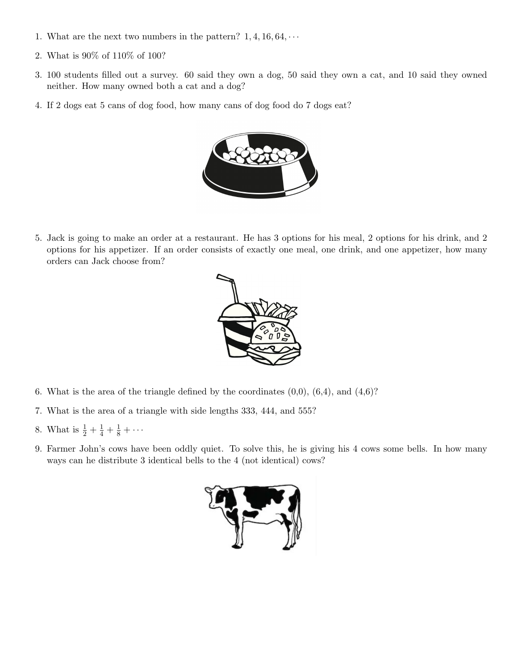- 1. What are the next two numbers in the pattern?  $1, 4, 16, 64, \cdots$
- 2. What is 90% of 110% of 100?
- 3. 100 students filled out a survey. 60 said they own a dog, 50 said they own a cat, and 10 said they owned neither. How many owned both a cat and a dog?
- 4. If 2 dogs eat 5 cans of dog food, how many cans of dog food do 7 dogs eat?



5. Jack is going to make an order at a restaurant. He has 3 options for his meal, 2 options for his drink, and 2 options for his appetizer. If an order consists of exactly one meal, one drink, and one appetizer, how many orders can Jack choose from?



- 6. What is the area of the triangle defined by the coordinates  $(0,0)$ ,  $(6,4)$ , and  $(4,6)$ ?
- 7. What is the area of a triangle with side lengths 333, 444, and 555?
- 8. What is  $\frac{1}{2} + \frac{1}{4} + \frac{1}{8} + \cdots$
- 9. Farmer John's cows have been oddly quiet. To solve this, he is giving his 4 cows some bells. In how many ways can he distribute 3 identical bells to the 4 (not identical) cows?